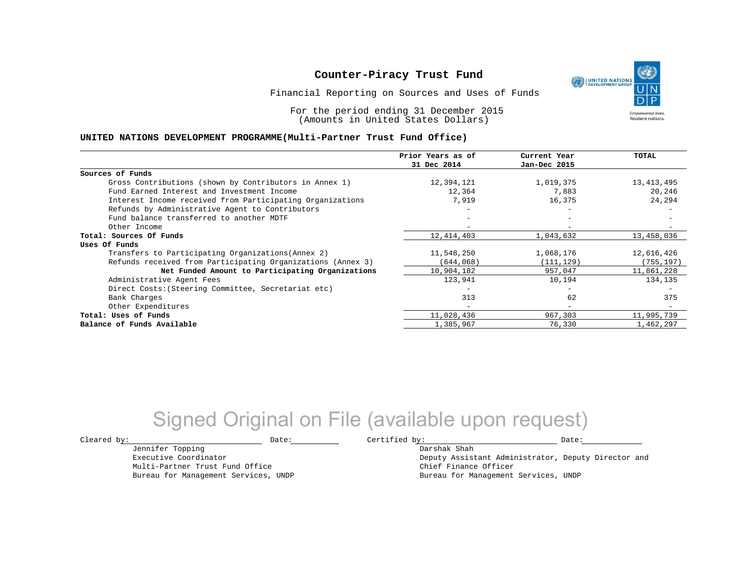Financial Reporting on Sources and Uses of Funds

For the period ending 31 December 2015 (Amounts in United States Dollars)

#### **UNITED NATIONS DEVELOPMENT PROGRAMME(Multi-Partner Trust Fund Office)**

|                                                             | Prior Years as of        | Current Year             | <b>TOTAL</b> |
|-------------------------------------------------------------|--------------------------|--------------------------|--------------|
|                                                             | 31 Dec 2014              | Jan-Dec 2015             |              |
| Sources of Funds                                            |                          |                          |              |
| Gross Contributions (shown by Contributors in Annex 1)      | 12,394,121               | 1,019,375                | 13,413,495   |
| Fund Earned Interest and Investment Income                  | 12,364                   | 7,883                    | 20,246       |
| Interest Income received from Participating Organizations   | 7,919                    | 16,375                   | 24,294       |
| Refunds by Administrative Agent to Contributors             |                          | -                        |              |
| Fund balance transferred to another MDTF                    |                          | $-$                      |              |
| Other Income                                                |                          | $\overline{\phantom{a}}$ |              |
| Total: Sources Of Funds                                     | 12, 414, 403             | 1,043,632                | 13,458,036   |
| Uses Of Funds                                               |                          |                          |              |
| Transfers to Participating Organizations (Annex 2)          | 11,548,250               | 1,068,176                | 12,616,426   |
| Refunds received from Participating Organizations (Annex 3) | (644,068)                | (111, 129)               | (755, 197)   |
| Net Funded Amount to Participating Organizations            | 10,904,182               | 957,047                  | 11,861,228   |
| Administrative Agent Fees                                   | 123,941                  | 10,194                   | 134,135      |
| Direct Costs: (Steering Committee, Secretariat etc)         |                          | -                        |              |
| Bank Charges                                                | 313                      | 62                       | 375          |
| Other Expenditures                                          | $\overline{\phantom{m}}$ | $\overline{\phantom{a}}$ |              |
| Total: Uses of Funds                                        | 11,028,436               | 967,303                  | 11,995,739   |
| Balance of Funds Available                                  | 1,385,967                | 76,330                   | 1,462,297    |

## Signed Original on File (available upon request)

Jennifer Topping Executive Coordinator Multi-Partner Trust Fund Office Bureau for Management Services, UNDP

 $\texttt{Cleared by:}\footnotesize \begin{minipage}{0.9\linewidth} \texttt{Date:}\footnotesize \begin{minipage}{0.9\linewidth} \texttt{Date:}\footnotesize \begin{minipage}{0.9\linewidth} \end{minipage} \end{minipage}$ 

Darshak Shah Deputy Assistant Administrator, Deputy Director and Chief Finance Officer Bureau for Management Services, UNDP

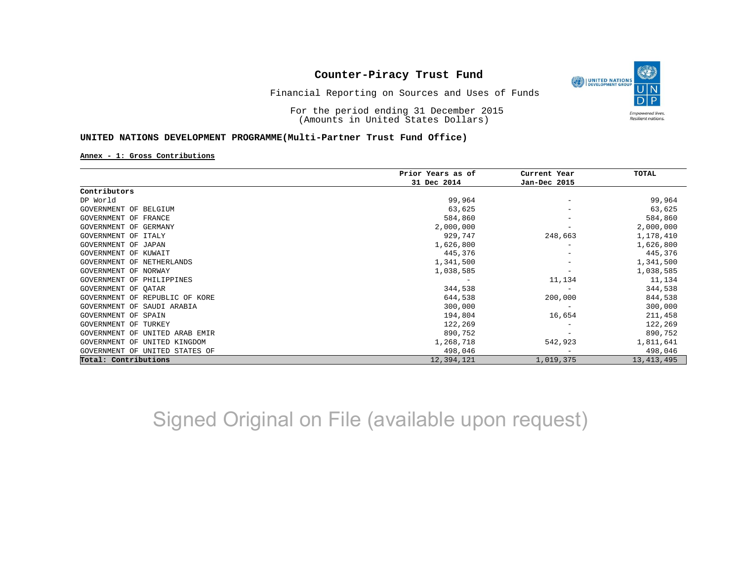

Financial Reporting on Sources and Uses of Funds

For the period ending 31 December 2015 (Amounts in United States Dollars)

#### **UNITED NATIONS DEVELOPMENT PROGRAMME(Multi-Partner Trust Fund Office)**

#### **Annex - 1: Gross Contributions**

|                                   | Prior Years as of | Current Year    | TOTAL        |
|-----------------------------------|-------------------|-----------------|--------------|
|                                   | 31 Dec 2014       | Jan-Dec 2015    |              |
| Contributors                      |                   |                 |              |
| DP World                          | 99,964            |                 | 99,964       |
| GOVERNMENT OF BELGIUM             | 63,625            |                 | 63,625       |
| GOVERNMENT OF FRANCE              | 584,860           |                 | 584,860      |
| GOVERNMENT OF<br>GERMANY          | 2,000,000         |                 | 2,000,000    |
| GOVERNMENT OF<br>ITALY            | 929,747           | 248,663         | 1,178,410    |
| GOVERNMENT OF JAPAN               | 1,626,800         |                 | 1,626,800    |
| GOVERNMENT OF KUWAIT              | 445,376           | -               | 445,376      |
| GOVERNMENT OF NETHERLANDS         | 1,341,500         |                 | 1,341,500    |
| GOVERNMENT OF NORWAY              | 1,038,585         | -               | 1,038,585    |
| GOVERNMENT OF PHILIPPINES         |                   | 11,134          | 11,134       |
| GOVERNMENT OF QATAR               | 344,538           | $\qquad \qquad$ | 344,538      |
| GOVERNMENT OF REPUBLIC OF KORE    | 644,538           | 200,000         | 844,538      |
| GOVERNMENT OF SAUDI ARABIA        | 300,000           |                 | 300,000      |
| GOVERNMENT OF SPAIN               | 194,804           | 16,654          | 211,458      |
| GOVERNMENT OF<br>TURKEY           | 122,269           |                 | 122,269      |
| GOVERNMENT OF<br>UNITED ARAB EMIR | 890,752           |                 | 890,752      |
| GOVERNMENT OF<br>UNITED KINGDOM   | 1,268,718         | 542,923         | 1,811,641    |
| GOVERNMENT OF UNITED STATES OF    | 498,046           |                 | 498,046      |
| Total: Contributions              | 12,394,121        | 1,019,375       | 13, 413, 495 |

Signed Original on File (available upon request)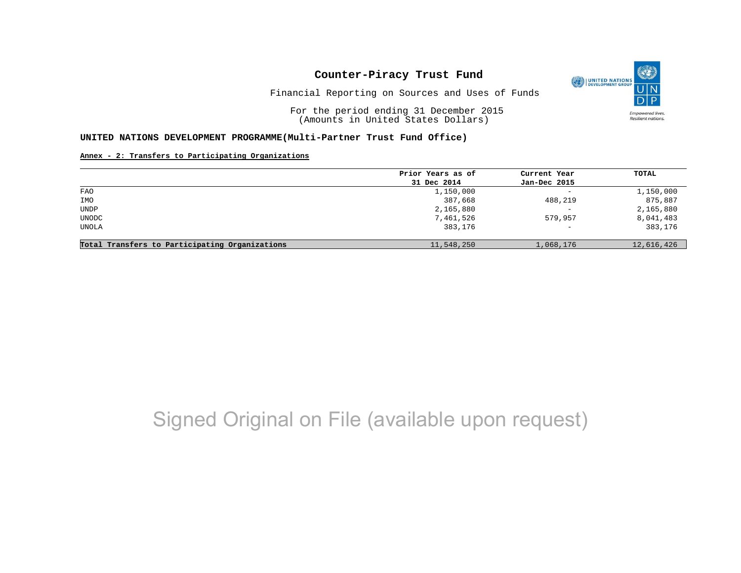

Financial Reporting on Sources and Uses of Funds

For the period ending 31 December 2015 (Amounts in United States Dollars)

#### **UNITED NATIONS DEVELOPMENT PROGRAMME(Multi-Partner Trust Fund Office)**

#### **Annex - 2: Transfers to Participating Organizations**

|                                                | Prior Years as of | Current Year             | TOTAL      |
|------------------------------------------------|-------------------|--------------------------|------------|
|                                                | 31 Dec 2014       | Jan-Dec 2015             |            |
| <b>FAO</b>                                     | 1,150,000         | $\overline{\phantom{a}}$ | 1,150,000  |
| IMO                                            | 387,668           | 488,219                  | 875,887    |
| UNDP                                           | 2,165,880         | $\overline{\phantom{m}}$ | 2,165,880  |
| <b>UNODC</b>                                   | 7,461,526         | 579,957                  | 8,041,483  |
| UNOLA                                          | 383,176           | $\overline{\phantom{0}}$ | 383,176    |
|                                                |                   |                          |            |
| Total Transfers to Participating Organizations | 11,548,250        | 1,068,176                | 12,616,426 |

# Signed Original on File (available upon request)